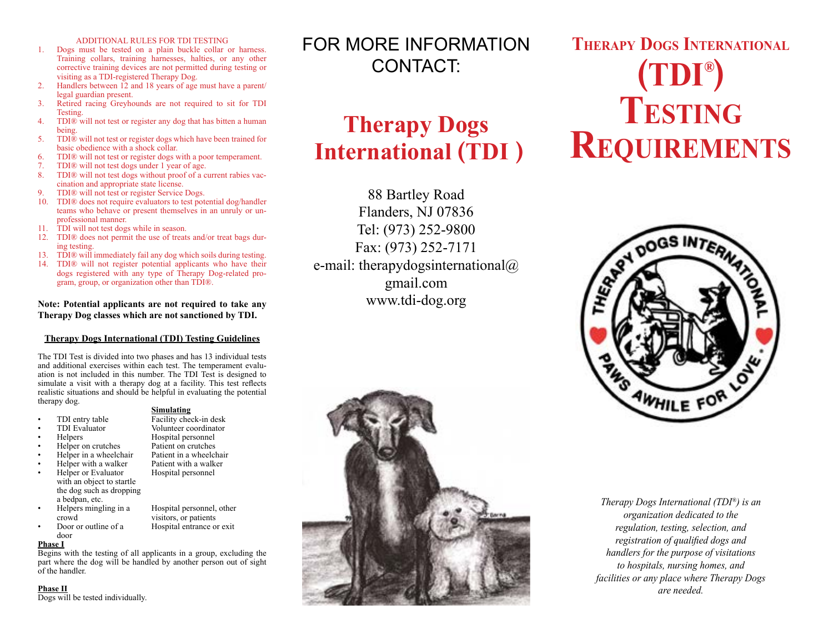#### ADDITIONAL RULES FOR TDI TESTING

- 1. Dogs must be tested on a plain buckle collar or harness. Training collars, training harnesses, halties, or any other corrective training devices are not permitted during testing or visiting as a TDI-registered Therapy Dog.
- 2. Handlers between 12 and 18 years of age must have a parent/ legal guardian present.
- 3. Retired racing Greyhounds are not required to sit for TDI Testing.
- 4. TDI® will not test or register any dog that has bitten a human being.
- 5. TDI® will not test or register dogs which have been trained for basic obedience with a shock collar.
- 6. TDI® will not test or register dogs with a poor temperament.<br>7. TDI® will not test dogs under 1 year of age.
- 7. TDI® will not test dogs under 1 year of age.<br>8. TDI® will not test dogs without proof of a c
- TDI® will not test dogs without proof of a current rabies vaccination and appropriate state license.
- 9. TDI® will not test or register Service Dogs.
- 10. TDI® does not require evaluators to test potential dog/handler teams who behave or present themselves in an unruly or unprofessional manner.
- 11. TDI will not test dogs while in season.
- 12. TDI® does not permit the use of treats and/or treat bags during testing.
- 13. TDI® will immediately fail any dog which soils during testing.
- 14. TDI® will not register potential applicants who have their dogs registered with any type of Therapy Dog-related program, group, or organization other than TDI®.

#### **Note: Potential applicants are not required to take any Therapy Dog classes which are not sanctioned by TDI.**

#### **Therapy Dogs International (TDI) Testing Guidelines**

The TDI Test is divided into two phases and has 13 individual tests and additional exercises within each test. The temperament evaluation is not included in this number. The TDI Test is designed to simulate a visit with a therapy dog at a facility. This test reflects realistic situations and should be helpful in evaluating the potential therapy dog.

### **Simulating**<br>TDI entry table Facility che

- TDI entry table Facility check-in desk<br>TDI Evaluator Facility check-in desk
- 
- Helpers Hospital personnel
- Helper on crutches Patient on crutches • Helper in a wheelchair Patient in a wheelchair
- **Findmer With a walker Fatient with a walk**<br>**•** Hospital personnel
- Helper or Evaluator with an object to startle the dog such as dropping
- a bedpan, etc.
	- Hospital personnel, other crowd visitors, or patients<br>Door or outline of a Hospital entrance or Hospital entrance or exit

Volunteer coordinator

door

#### **Phase I**

Begins with the testing of all applicants in a group, excluding the part where the dog will be handled by another person out of sight of the handler.

**Phase II**

Dogs will be tested individually.

## FOR MORE INFORMATION CONTACT:

## **Therapy Dogs International (TDI )**

88 Bartley Road Flanders, NJ 07836 Tel: (973) 252-9800 Fax: (973) 252-7171 e-mail: therapydogsinternational $\omega$ gmail.com www.tdi-dog.org



# **® (TDI ) Therapy Dogs International Testing Requirements**



*Therapy Dogs International (TDI®) is an organization dedicated to the regulation, testing, selection, and registration of qualified dogs and handlers for the purpose of visitations to hospitals, nursing homes, and facilities or any place where Therapy Dogs are needed.*